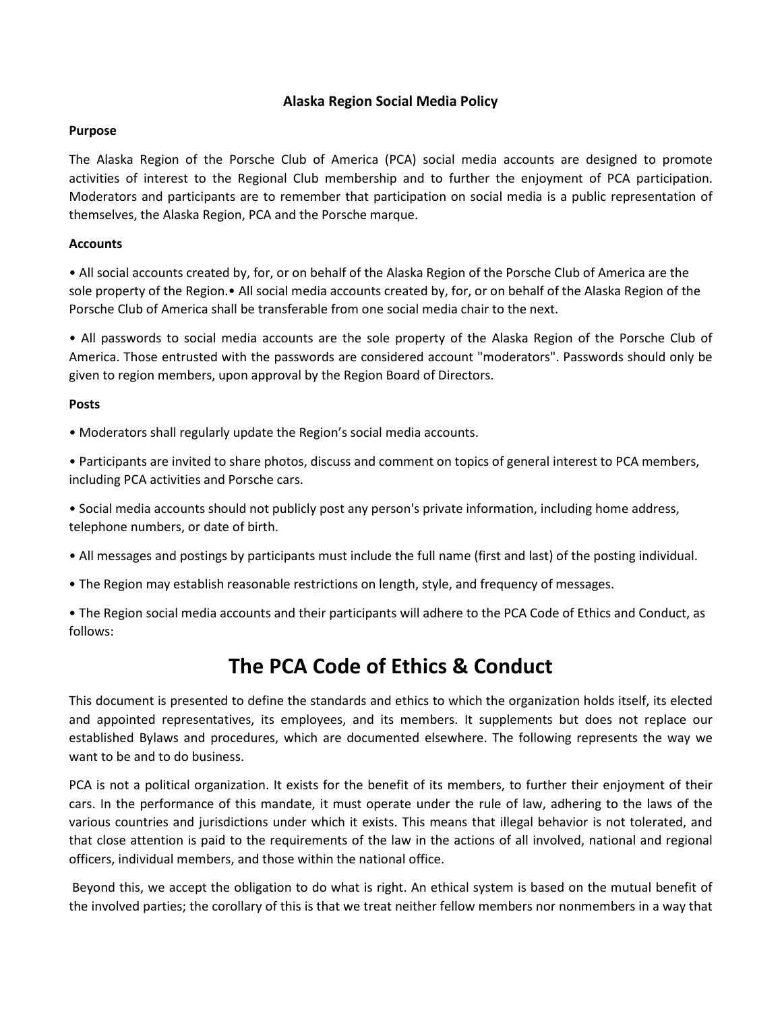# **Alaska Region Social Media Policy**

## **Purpose**

The Alaska Region of the Porsche Club of America (PCA) social media accounts are designed to promote activities of interest to the Regional Club membership and to further the enjoyment of PCA participation. Moderators and participants are to remember that participation on social media is a public representation of themselves, the Alaska Region, PCA and the Porsche marque.

## **Accounts**

• All social accounts created by, for, or on behalf of the Alaska Region of the Porsche Club of America are the sole property of the Region.• All social media accounts created by, for, or on behalf of the Alaska Region of the Porsche Club of America shall be transferable from one social media chair to the next.

• All passwords to social media accounts are the sole property of the Alaska Region of the Porsche Club of America. Those entrusted with the passwords are considered account "moderators". Passwords should only be given to region members, upon approval by the Region Board of Directors.

#### **Posts**

• Moderators shall regularly update the Region's social media accounts.

• Participants are invited to share photos, discuss and comment on topics of general interest to PCA members, including PCA activities and Porsche cars.

• Social media accounts should not publicly post any person's private information, including home address, telephone numbers, or date of birth.

- All messages and postings by participants must include the full name (first and last) of the posting individual.
- The Region may establish reasonable restrictions on length, style, and frequency of messages.

• The Region social media accounts and their participants will adhere to the PCA Code of Ethics and Conduct, as follows:

# **The PCA Code of Ethics & Conduct**

This document is presented to define the standards and ethics to which the organization holds itself, its elected and appointed representatives, its employees, and its members. It supplements but does not replace our established Bylaws and procedures, which are documented elsewhere. The following represents the way we want to be and to do business.

PCA is not a political organization. It exists for the benefit of its members, to further their enjoyment of their cars. In the performance of this mandate, it must operate under the rule of law, adhering to the laws of the various countries and jurisdictions under which it exists. This means that illegal behavior is not tolerated, and that close attention is paid to the requirements of the law in the actions of all involved, national and regional officers, individual members, and those within the national office.

Beyond this, we accept the obligation to do what is right. An ethical system is based on the mutual benefit of the involved parties; the corollary of this is that we treat neither fellow members nor nonmembers in a way that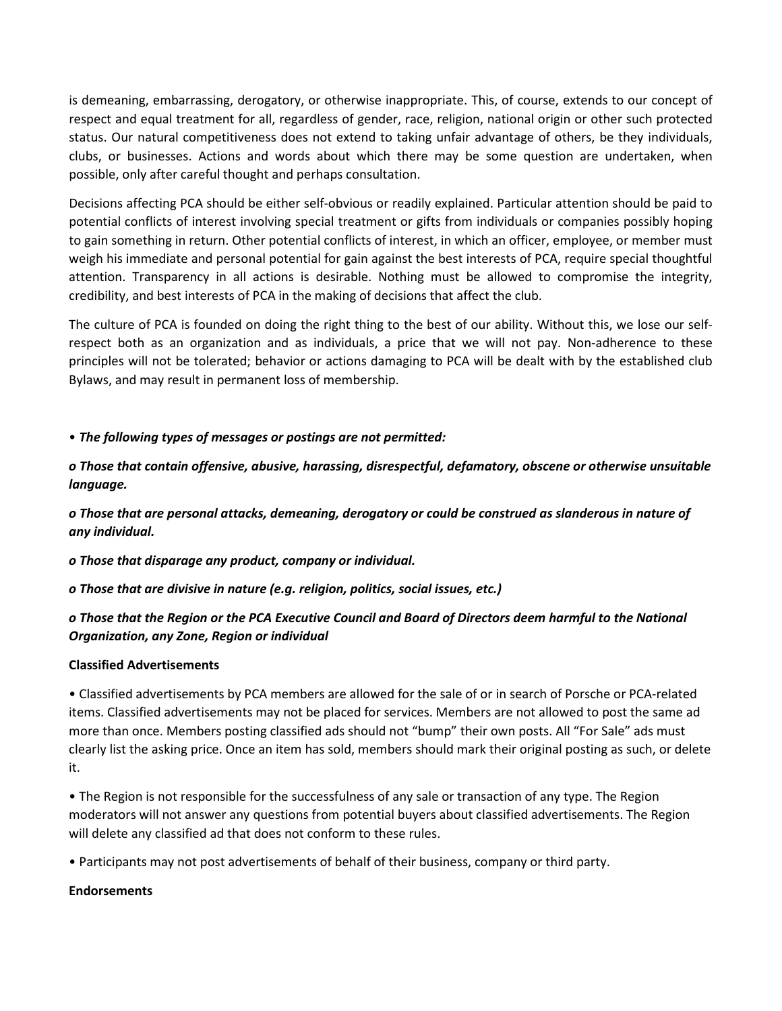is demeaning, embarrassing, derogatory, or otherwise inappropriate. This, of course, extends to our concept of respect and equal treatment for all, regardless of gender, race, religion, national origin or other such protected status. Our natural competitiveness does not extend to taking unfair advantage of others, be they individuals, clubs, or businesses. Actions and words about which there may be some question are undertaken, when possible, only after careful thought and perhaps consultation.

Decisions affecting PCA should be either self-obvious or readily explained. Particular attention should be paid to potential conflicts of interest involving special treatment or gifts from individuals or companies possibly hoping to gain something in return. Other potential conflicts of interest, in which an officer, employee, or member must weigh his immediate and personal potential for gain against the best interests of PCA, require special thoughtful attention. Transparency in all actions is desirable. Nothing must be allowed to compromise the integrity, credibility, and best interests of PCA in the making of decisions that affect the club.

The culture of PCA is founded on doing the right thing to the best of our ability. Without this, we lose our selfrespect both as an organization and as individuals, a price that we will not pay. Non-adherence to these principles will not be tolerated; behavior or actions damaging to PCA will be dealt with by the established club Bylaws, and may result in permanent loss of membership.

## • *The following types of messages or postings are not permitted:*

*o Those that contain offensive, abusive, harassing, disrespectful, defamatory, obscene or otherwise unsuitable language.*

*o Those that are personal attacks, demeaning, derogatory or could be construed as slanderous in nature of any individual.*

*o Those that disparage any product, company or individual.*

*o Those that are divisive in nature (e.g. religion, politics, social issues, etc.)*

# *o Those that the Region or the PCA Executive Council and Board of Directors deem harmful to the National Organization, any Zone, Region or individual*

# **Classified Advertisements**

• Classified advertisements by PCA members are allowed for the sale of or in search of Porsche or PCA-related items. Classified advertisements may not be placed for services. Members are not allowed to post the same ad more than once. Members posting classified ads should not "bump" their own posts. All "For Sale" ads must clearly list the asking price. Once an item has sold, members should mark their original posting as such, or delete it.

• The Region is not responsible for the successfulness of any sale or transaction of any type. The Region moderators will not answer any questions from potential buyers about classified advertisements. The Region will delete any classified ad that does not conform to these rules.

• Participants may not post advertisements of behalf of their business, company or third party.

## **Endorsements**